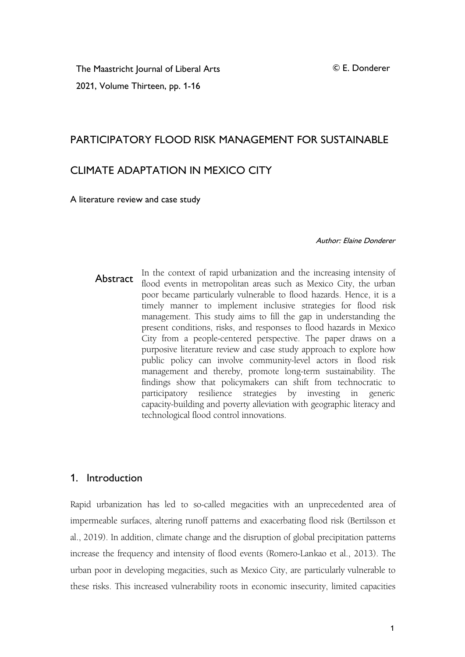The Maastricht Journal of Liberal Arts

2021, Volume Thirteen, pp. 1-16

# PARTICIPATORY FLOOD RISK MANAGEMENT FOR SUSTAINABLE

# CLIMATE ADAPTATION IN MEXICO CITY

A literature review and case study

### Author: Elaine Donderer

Abstract In the context of rapid urbanization and the increasing intensity of flood events in metropolitan areas such as Mexico City, the urban poor became particularly vulnerable to flood hazards. Hence, it is a timely manner to implement inclusive strategies for flood risk management. This study aims to fill the gap in understanding the present conditions, risks, and responses to flood hazards in Mexico City from a people-centered perspective. The paper draws on a purposive literature review and case study approach to explore how public policy can involve community-level actors in flood risk management and thereby, promote long-term sustainability. The findings show that policymakers can shift from technocratic to participatory resilience strategies by investing in generic capacity-building and poverty alleviation with geographic literacy and technological flood control innovations.

## 1. Introduction

Rapid urbanization has led to so-called megacities with an unprecedented area of impermeable surfaces, altering runoff patterns and exacerbating flood risk (Bertilsson et al., 2019). In addition, climate change and the disruption of global precipitation patterns increase the frequency and intensity of flood events (Romero-Lankao et al., 2013). The urban poor in developing megacities, such as Mexico City, are particularly vulnerable to these risks. This increased vulnerability roots in economic insecurity, limited capacities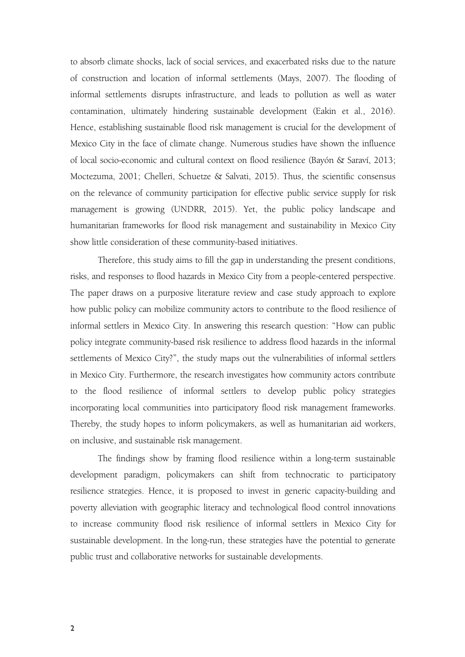to absorb climate shocks, lack of social services, and exacerbated risks due to the nature of construction and location of informal settlements (Mays, 2007). The flooding of informal settlements disrupts infrastructure, and leads to pollution as well as water contamination, ultimately hindering sustainable development (Eakin et al., 2016). Hence, establishing sustainable flood risk management is crucial for the development of Mexico City in the face of climate change. Numerous studies have shown the influence of local socio-economic and cultural context on flood resilience (Bayón & Saraví, 2013; Moctezuma, 2001; Chelleri, Schuetze & Salvati, 2015). Thus, the scientific consensus on the relevance of community participation for effective public service supply for risk management is growing (UNDRR, 2015). Yet, the public policy landscape and humanitarian frameworks for flood risk management and sustainability in Mexico City show little consideration of these community-based initiatives.

Therefore, this study aims to fill the gap in understanding the present conditions, risks, and responses to flood hazards in Mexico City from a people-centered perspective. The paper draws on a purposive literature review and case study approach to explore how public policy can mobilize community actors to contribute to the flood resilience of informal settlers in Mexico City. In answering this research question: "How can public policy integrate community-based risk resilience to address flood hazards in the informal settlements of Mexico City?", the study maps out the vulnerabilities of informal settlers in Mexico City. Furthermore, the research investigates how community actors contribute to the flood resilience of informal settlers to develop public policy strategies incorporating local communities into participatory flood risk management frameworks. Thereby, the study hopes to inform policymakers, as well as humanitarian aid workers, on inclusive, and sustainable risk management.

The findings show by framing flood resilience within a long-term sustainable development paradigm, policymakers can shift from technocratic to participatory resilience strategies. Hence, it is proposed to invest in generic capacity-building and poverty alleviation with geographic literacy and technological flood control innovations to increase community flood risk resilience of informal settlers in Mexico City for sustainable development. In the long-run, these strategies have the potential to generate public trust and collaborative networks for sustainable developments.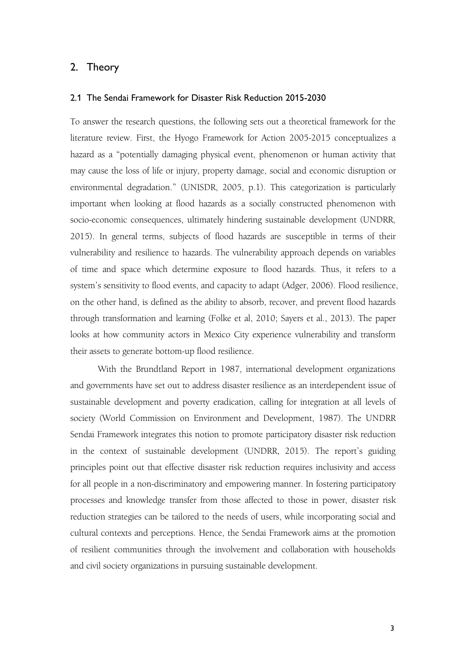### 2. Theory

#### 2.1 The Sendai Framework for Disaster Risk Reduction 2015-2030

To answer the research questions, the following sets out a theoretical framework for the literature review. First, the Hyogo Framework for Action 2005-2015 conceptualizes a hazard as a "potentially damaging physical event, phenomenon or human activity that may cause the loss of life or injury, property damage, social and economic disruption or environmental degradation." (UNISDR, 2005, p.1). This categorization is particularly important when looking at flood hazards as a socially constructed phenomenon with socio-economic consequences, ultimately hindering sustainable development (UNDRR, 2015). In general terms, subjects of flood hazards are susceptible in terms of their vulnerability and resilience to hazards. The vulnerability approach depends on variables of time and space which determine exposure to flood hazards. Thus, it refers to a system's sensitivity to flood events, and capacity to adapt (Adger, 2006). Flood resilience, on the other hand, is defined as the ability to absorb, recover, and prevent flood hazards through transformation and learning (Folke et al, 2010; Sayers et al., 2013). The paper looks at how community actors in Mexico City experience vulnerability and transform their assets to generate bottom-up flood resilience.

With the Brundtland Report in 1987, international development organizations and governments have set out to address disaster resilience as an interdependent issue of sustainable development and poverty eradication, calling for integration at all levels of society (World Commission on Environment and Development, 1987). The UNDRR Sendai Framework integrates this notion to promote participatory disaster risk reduction in the context of sustainable development (UNDRR, 2015). The report's guiding principles point out that effective disaster risk reduction requires inclusivity and access for all people in a non-discriminatory and empowering manner. In fostering participatory processes and knowledge transfer from those affected to those in power, disaster risk reduction strategies can be tailored to the needs of users, while incorporating social and cultural contexts and perceptions. Hence, the Sendai Framework aims at the promotion of resilient communities through the involvement and collaboration with households and civil society organizations in pursuing sustainable development.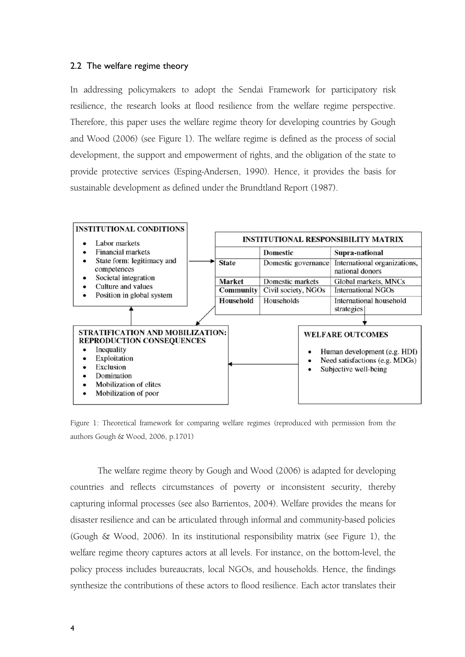### 2.2 The welfare regime theory

In addressing policymakers to adopt the Sendai Framework for participatory risk resilience, the research looks at flood resilience from the welfare regime perspective. Therefore, this paper uses the welfare regime theory for developing countries by Gough and Wood (2006) (see Figure 1). The welfare regime is defined as the process of social development, the support and empowerment of rights, and the obligation of the state to provide protective services (Esping-Andersen, 1990). Hence, it provides the basis for sustainable development as defined under the Brundtland Report (1987).



Figure 1: Theoretical framework for comparing welfare regimes (reproduced with permission from the authors Gough & Wood, 2006, p.1701)

The welfare regime theory by Gough and Wood (2006) is adapted for developing countries and reflects circumstances of poverty or inconsistent security, thereby capturing informal processes (see also Barrientos,2004). Welfare provides the means for disaster resilience and can be articulated through informal and community-based policies (Gough & Wood, 2006). In its institutional responsibility matrix (see Figure 1), the welfare regime theory captures actors at all levels. For instance, on the bottom-level, the policy process includes bureaucrats, local NGOs, and households. Hence, the findings synthesize the contributions of these actors to flood resilience. Each actor translates their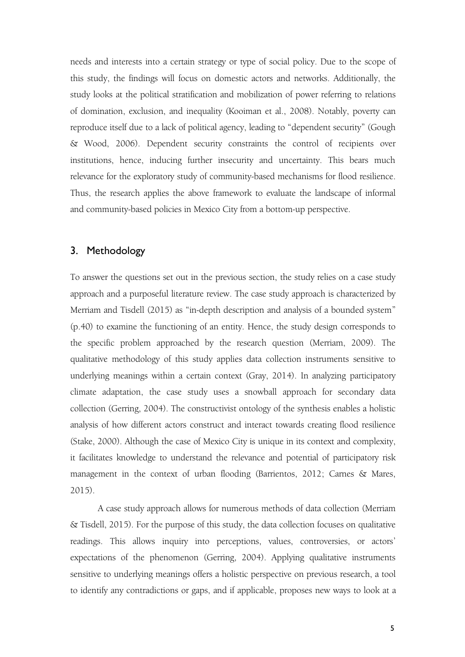needs and interests into a certain strategy or type of social policy. Due to the scope of this study, the findings will focus on domestic actors and networks. Additionally, the study looks at the political stratification and mobilization of power referring to relations of domination, exclusion, and inequality (Kooiman et al., 2008). Notably, poverty can reproduce itself due to a lack of political agency, leading to "dependent security" (Gough & Wood, 2006). Dependent security constraints the control of recipients over institutions, hence, inducing further insecurity and uncertainty. This bears much relevance for the exploratory study of community-based mechanisms for flood resilience. Thus, the research applies the above framework to evaluate the landscape of informal and community-based policies in Mexico City from a bottom-up perspective.

### 3. Methodology

To answer the questions set out in the previous section, the study relies on a case study approach and a purposeful literature review. The case study approach is characterized by Merriam and Tisdell (2015) as "in-depth description and analysis of a bounded system" (p.40) to examine the functioning of an entity. Hence, the study design corresponds to the specific problem approached by the research question (Merriam, 2009). The qualitative methodology of this study applies data collection instruments sensitive to underlying meanings within a certain context (Gray, 2014). In analyzing participatory climate adaptation, the case study uses a snowball approach for secondary data collection (Gerring, 2004). The constructivist ontology of the synthesis enables a holistic analysis of how different actors construct and interact towards creating flood resilience (Stake, 2000). Although the case of Mexico City is unique in its context and complexity, it facilitates knowledge to understand the relevance and potential of participatory risk management in the context of urban flooding (Barrientos, 2012; Carnes & Mares, 2015).

A case study approach allows for numerous methods of data collection (Merriam & Tisdell, 2015). For the purpose of this study, the data collection focuses on qualitative readings. This allows inquiry into perceptions, values, controversies, or actors' expectations of the phenomenon (Gerring, 2004). Applying qualitative instruments sensitive to underlying meanings offers a holistic perspective on previous research, a tool to identify any contradictions or gaps, and if applicable, proposes new ways to look at a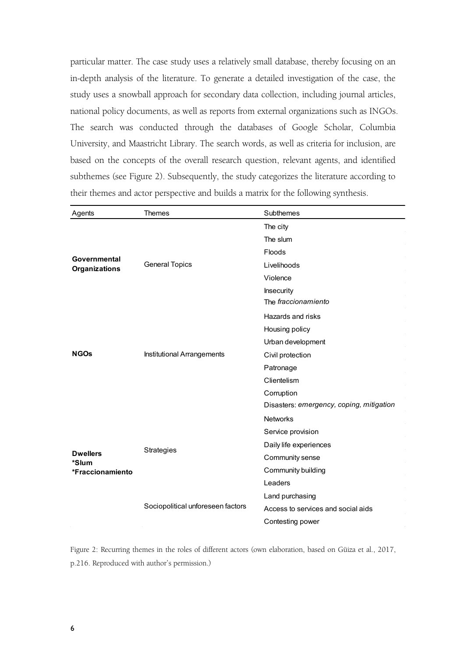particular matter. The case study uses a relatively small database, thereby focusing on an in-depth analysis of the literature. To generate a detailed investigation of the case, the study uses a snowball approach for secondary data collection, including journal articles, national policy documents, as well as reports from external organizations such as INGOs. The search was conducted through the databases of Google Scholar, Columbia University, and Maastricht Library. The search words, as well as criteria for inclusion, are based on the concepts of the overall research question, relevant agents, and identified subthemes (see Figure 2). Subsequently, the study categorizes the literature according to their themes and actor perspective and builds a matrix for the following synthesis.

| Agents                                       | <b>Themes</b>                     | Subthemes                                |
|----------------------------------------------|-----------------------------------|------------------------------------------|
| Governmental<br><b>Organizations</b>         | <b>General Topics</b>             | The city                                 |
|                                              |                                   | The slum                                 |
|                                              |                                   | Floods                                   |
|                                              |                                   | Livelihoods                              |
|                                              |                                   | Violence                                 |
|                                              |                                   | <b>Insecurity</b>                        |
|                                              |                                   | The fraccionamiento                      |
| <b>NGOs</b>                                  | Institutional Arrangements        | Hazards and risks                        |
|                                              |                                   | Housing policy                           |
|                                              |                                   | Urban development                        |
|                                              |                                   | Civil protection                         |
|                                              |                                   | Patronage                                |
|                                              |                                   | Clientelism                              |
|                                              |                                   | Corruption                               |
|                                              |                                   | Disasters: emergency, coping, mitigation |
| <b>Dwellers</b><br>*Slum<br>*Fraccionamiento | Strategies                        | <b>Networks</b>                          |
|                                              |                                   | Service provision                        |
|                                              |                                   | Daily life experiences                   |
|                                              |                                   | Community sense                          |
|                                              |                                   | Community building                       |
|                                              | Sociopolitical unforeseen factors | Leaders                                  |
|                                              |                                   | Land purchasing                          |
|                                              |                                   | Access to services and social aids       |
|                                              |                                   | Contesting power                         |

Figure 2: Recurring themes in the roles of different actors (own elaboration, based on Güiza et al., 2017, p.216. Reproduced with author's permission.)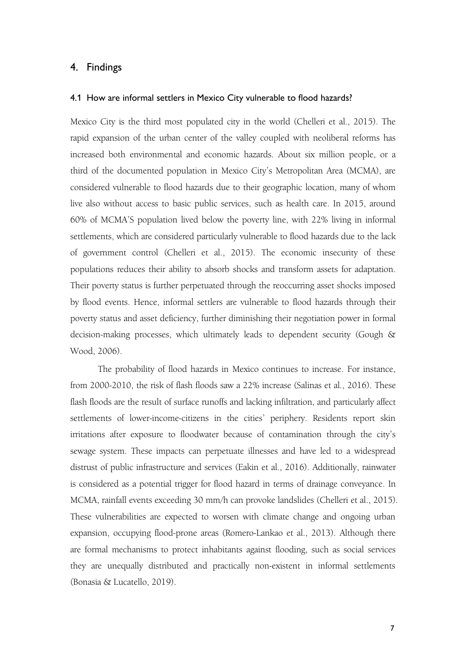### 4. Findings

#### 4.1 How are informal settlers in Mexico City vulnerable to flood hazards?

Mexico City is the third most populated city in the world (Chelleri et al., 2015). The rapid expansion of the urban center of the valley coupled with neoliberal reforms has increased both environmental and economic hazards. About six million people, or a third of the documented population in Mexico City's Metropolitan Area (MCMA), are considered vulnerable to flood hazards due to their geographic location, many of whom live also without access to basic public services, such as health care. In 2015, around 60% of MCMA'S population lived below the poverty line, with 22% living in informal settlements, which are considered particularly vulnerable to flood hazards due to the lack of government control (Chelleri et al., 2015). The economic insecurity of these populations reduces their ability to absorb shocks and transform assets for adaptation. Their poverty status is further perpetuated through the reoccurring asset shocks imposed by flood events. Hence, informal settlers are vulnerable to flood hazards through their poverty status and asset deficiency, further diminishing their negotiation power in formal decision-making processes, which ultimately leads to dependent security (Gough & Wood, 2006).

The probability of flood hazards in Mexico continues to increase. For instance, from 2000-2010, the risk of flash floods saw a 22% increase (Salinas et al., 2016). These flash floods are the result of surface runoffs and lacking infiltration, and particularly affect settlements of lower-income-citizens in the cities' periphery. Residents report skin irritations after exposure to floodwater because of contamination through the city's sewage system. These impacts can perpetuate illnesses and have led to a widespread distrust of public infrastructure and services (Eakin et al., 2016). Additionally, rainwater is considered as a potential trigger for flood hazard in terms of drainage conveyance. In MCMA, rainfall events exceeding 30 mm/h can provoke landslides (Chelleri et al., 2015). These vulnerabilities are expected to worsen with climate change and ongoing urban expansion, occupying flood-prone areas (Romero-Lankao et al., 2013). Although there are formal mechanisms to protect inhabitants against flooding, such as social services they are unequally distributed and practically non-existent in informal settlements (Bonasia & Lucatello, 2019).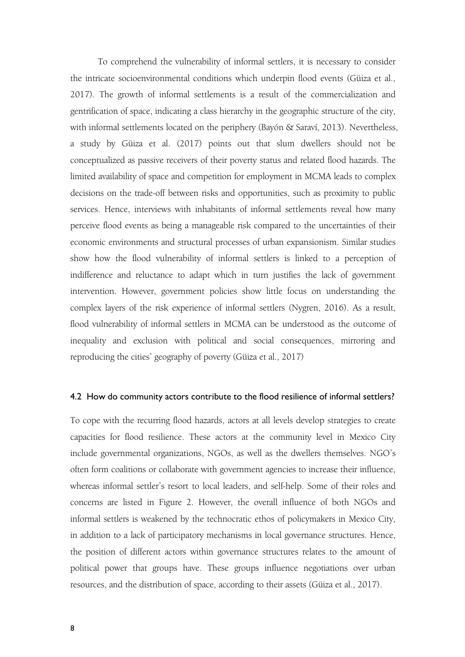To comprehend the vulnerability of informal settlers, it is necessary to consider the intricate socioenvironmental conditions which underpin flood events (Güiza et al., 2017). The growth of informal settlements is a result of the commercialization and gentrification of space, indicating a class hierarchy in the geographic structure of the city, with informal settlements located on the periphery (Bayón & Saraví, 2013). Nevertheless, a study by Güiza et al. (2017) points out that slum dwellers should notbe conceptualized as passive receivers of their poverty status and related flood hazards. The limited availability of space and competition for employment in MCMA leads to complex decisions on the trade-off between risks and opportunities, such as proximity to public services. Hence, interviews with inhabitants of informal settlements reveal how many perceive flood events as being a manageable risk compared to the uncertainties of their economic environments and structural processes of urban expansionism. Similar studies show how the flood vulnerability of informal settlers is linked to a perception of indifference and reluctance to adapt which in turn justifies the lack of government intervention. However, government policies show little focus on understanding the complex layers of the risk experience of informal settlers (Nygren, 2016). As a result, flood vulnerability of informal settlers in MCMA can be understood as the outcome of inequality and exclusion with political and social consequences, mirroring and reproducing the cities' geography of poverty (Güiza et al., 2017)

### 4.2 How do community actors contribute to the flood resilience of informal settlers?

To cope with the recurring flood hazards, actors at all levels develop strategies to create capacities for flood resilience. These actors at the community level in Mexico City include governmental organizations, NGOs, as well as the dwellers themselves. NGO's often form coalitions or collaborate with government agencies to increase their influence, whereas informal settler's resort to local leaders, and self-help. Some of their roles and concerns are listed in Figure 2. However, the overall influence of both NGOs and informal settlers is weakened by the technocratic ethos of policymakers in Mexico City, in addition to a lack of participatory mechanisms in local governance structures. Hence, the position of different actors within governance structures relates to the amount of political power that groups have. These groups influence negotiations over urban resources, and the distribution of space, according to their assets (Güiza et al., 2017).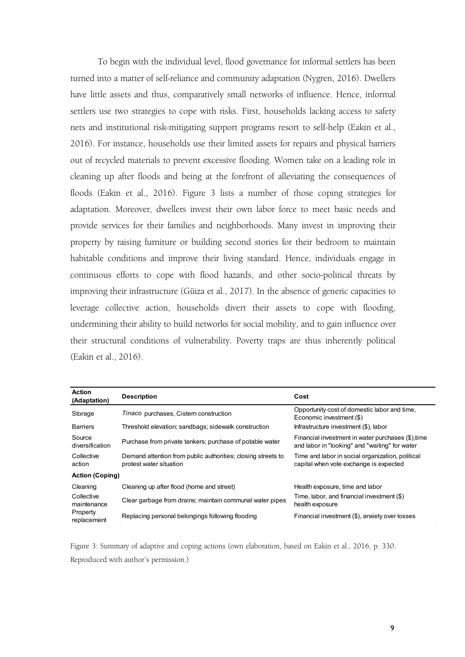To begin with the individual level, flood governance for informal settlers has been turned into a matter of self-reliance and community adaptation (Nygren, 2016). Dwellers have little assets and thus, comparatively small networks of influence. Hence, informal settlers use two strategies to cope with risks. First, households lacking access to safety nets and institutional risk-mitigating support programs resort to self-help (Eakin et al., 2016). For instance, households use their limited assets for repairs and physical barriers out of recycled materials to prevent excessive flooding. Women take on a leading role in cleaning up after floods and being at the forefront of alleviating the consequences of floods (Eakin et al., 2016). Figure 3 lists a number of those coping strategies for adaptation. Moreover, dwellers invest their own labor force to meet basic needs and provide services for their families and neighborhoods. Many invest in improving their property by raising furniture or building second stories for their bedroom to maintain habitable conditions and improve their living standard. Hence, individuals engage in continuous efforts to cope with flood hazards, and other socio-political threats by improving their infrastructure (Güiza et al., 2017). In the absence of generic capacities to leverage collective action, households divert their assets to cope with flooding, undermining their ability to build networks for social mobility, and to gain influence over their structural conditions of vulnerability. Poverty traps are thus inherently political (Eakin et al., 2016).

| <b>Action</b><br>(Adaptation)                        | <b>Description</b>                                                                      | Cost                                                                                                 |  |
|------------------------------------------------------|-----------------------------------------------------------------------------------------|------------------------------------------------------------------------------------------------------|--|
| Storage                                              | Tinaco purchases, Cistern construction                                                  | Opportunity cost of domestic labor and time,<br>Economic investment (\$)                             |  |
| <b>Barriers</b>                                      | Threshold elevation; sandbags; sidewalk construction                                    | Infrastructure investment (\$), labor                                                                |  |
| Source<br>diversification                            | Purchase from private tankers; purchase of potable water                                | Financial investment in water purchases (\$), time<br>and labor in "looking" and "waiting" for water |  |
| Collective<br>action                                 | Demand attention from public authorities; closing streets to<br>protest water situation | Time and labor in social organization, political<br>capital when vote exchange is expected           |  |
| <b>Action (Coping)</b>                               |                                                                                         |                                                                                                      |  |
| Cleaning                                             | Cleaning up after flood (home and street)                                               | Health exposure, time and labor                                                                      |  |
| Collective<br>maintenance<br>Property<br>replacement | Clear garbage from drains; maintain communal water pipes                                | Time, labor, and financial investment (\$)<br>health exposure                                        |  |
|                                                      | Replacing personal belongings following flooding                                        | Financial investment (\$), anxiety over losses                                                       |  |

Figure 3: Summary of adaptive and coping actions (own elaboration, based on Eakin et al., 2016, p. 330. Reproduced with author's permission.)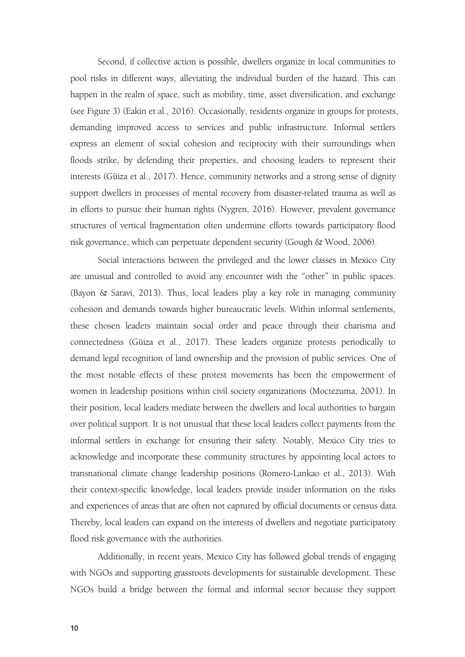Second, if collective action is possible, dwellers organize in local communities to pool risks in different ways, alleviating the individual burden of the hazard. This can happen in the realm of space, such as mobility, time, asset diversification, and exchange (see Figure 3) (Eakin et al., 2016). Occasionally, residents organize in groups for protests, demanding improved access to services and public infrastructure. Informal settlers express an element of social cohesion and reciprocity with their surroundings when floods strike, by defending their properties, and choosing leaders to represent their interests (Güiza et al., 2017). Hence, community networks and a strong sense of dignity support dwellers in processes of mental recovery from disaster-related trauma as well as in efforts to pursue their human rights (Nygren, 2016). However, prevalent governance structures of vertical fragmentation often undermine efforts towards participatory flood risk governance, which can perpetuate dependent security (Gough & Wood, 2006).

Social interactions between the privileged and the lower classes in Mexico City are unusual and controlled to avoid any encounter with the "other" in public spaces.<br>(Bayon & Saravi, 2013). Thus, local leaders play a key role in managing community cohesion and demands towards higher bureaucratic levels. Within informal settlements, these chosen leaders maintain social order and peace through their charisma and connectedness (Güiza et al., 2017). These leaders organize protests periodically to demand legal recognition of land ownership and the provision of public services. One of the most notable effects of these protest movements has been the empowerment of women in leadership positions within civil society organizations (Moctezuma, 2001). In their position, local leaders mediate between the dwellers and local authorities to bargain over political support. It is not unusual that these local leaders collect payments from the informal settlers in exchange for ensuring their safety. Notably, Mexico City tries to acknowledge and incorporate these community structures by appointing local actors to transnational climate change leadership positions (Romero-Lankao et al., 2013). With their context-specific knowledge, local leaders provide insider information on the risks and experiences of areas that are often not captured by official documents or census data.<br>Thereby, local leaders can expand on the interests of dwellers and negotiate participatory flood risk governance with the authorities.

Additionally, in recent years, Mexico City has followed global trends of engaging with NGOs and supporting grassroots developments for sustainable development. These NGOs build a bridge between the formal and informal sector because they support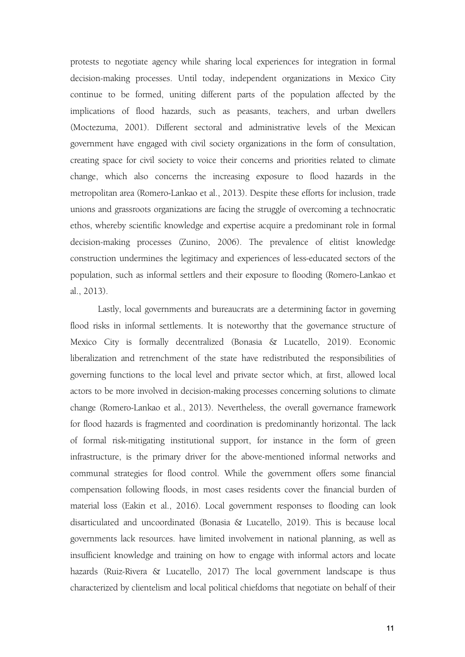protests to negotiate agency while sharing local experiences for integration in formal decision-making processes. Until today, independent organizations in Mexico City continue to be formed, uniting different parts of the population affected by the implications of flood hazards, such as peasants, teachers, and urban dwellers (Moctezuma, 2001). Different sectoral and administrative levels of the Mexican government have engaged with civil society organizations in the form of consultation, creating space for civil society to voice their concerns and priorities related to climate change, which also concerns the increasing exposure to flood hazards in the metropolitan area (Romero-Lankao et al., 2013). Despite these efforts for inclusion, trade unions and grassroots organizations are facing the struggle of overcoming a technocratic ethos, whereby scientific knowledge and expertise acquire a predominant role in formal decision-making processes (Zunino, 2006). The prevalence of elitist knowledge construction undermines the legitimacy and experiences of less-educated sectors of the population, such as informal settlers and their exposure to flooding (Romero-Lankao et al., 2013).

Lastly, local governments and bureaucrats are a determining factor in governing flood risks in informal settlements. It is noteworthy that the governance structure of Mexico City is formally decentralized (Bonasia & Lucatello, 2019). Economic liberalization and retrenchment of the state have redistributed the responsibilities of governing functions to the local level and private sector which, at first, allowed local actors to be more involved in decision-making processes concerning solutions to climate change (Romero-Lankao et al., 2013). Nevertheless, the overall governance framework for flood hazards is fragmented and coordination is predominantly horizontal. The lack of formal risk-mitigating institutional support, for instance in the form of green infrastructure, is the primary driver for the above-mentioned informal networks and communal strategies for flood control. While the government offers some financial compensation following floods, in most cases residents cover the financial burden of material loss (Eakin et al., 2016). Local government responses to flooding can look disarticulated and uncoordinated (Bonasia & Lucatello, 2019). This is because local governments lack resources. have limited involvement in national planning, as well as insufficient knowledge and training on how to engage with informal actors and locate hazards (Ruiz-Rivera & Lucatello, 2017) The local government landscape is thus characterized by clientelism and local political chiefdoms that negotiate on behalf of their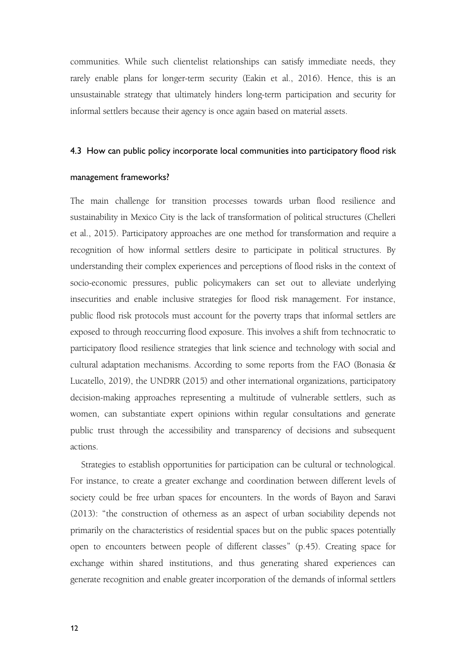communities. While such clientelist relationships can satisfy immediate needs, they rarely enable plans for longer-term security (Eakin et al., 2016). Hence, this is an unsustainable strategy that ultimately hinders long-term participation and security for informal settlers because their agency is once again based on material assets.

### 4.3 How can public policy incorporate local communities into participatory flood risk

#### management frameworks?

The main challenge for transition processes towards urban flood resilience and sustainability in Mexico City is the lack of transformation of political structures (Chelleri et al., 2015). Participatory approaches are one method for transformation and require a recognition of how informal settlers desire to participate in political structures. By understanding their complex experiences and perceptions of flood risks in the context of socio-economic pressures, public policymakers can set out to alleviate underlying insecurities and enable inclusive strategies for flood risk management. For instance, public flood risk protocols must account for the poverty traps that informal settlers are exposed to through reoccurring flood exposure. This involves a shift from technocratic to participatory flood resilience strategies that link science and technology with social and cultural adaptation mechanisms. According to some reports from the FAO (Bonasia & Lucatello, 2019), the UNDRR (2015) and other international organizations, participatory decision-making approaches representing a multitude of vulnerable settlers, such as women, can substantiate expert opinions within regular consultations and generate public trust through the accessibility and transparency of decisions and subsequent actions.

Strategies to establish opportunities for participation can be cultural or technological. For instance, to create a greater exchange and coordination between different levels of society could be free urban spaces for encounters. In the words of Bayon and Saravi (2013): "the construction of otherness as an aspect of urban sociability depends not primarily on the characteristics of residential spaces but on the public spaces potentially open to encounters between people of different classes" (p.45). Creating space for exchange within shared institutions, and thus generating shared experiences can generate recognition and enable greater incorporation of the demands of informal settlers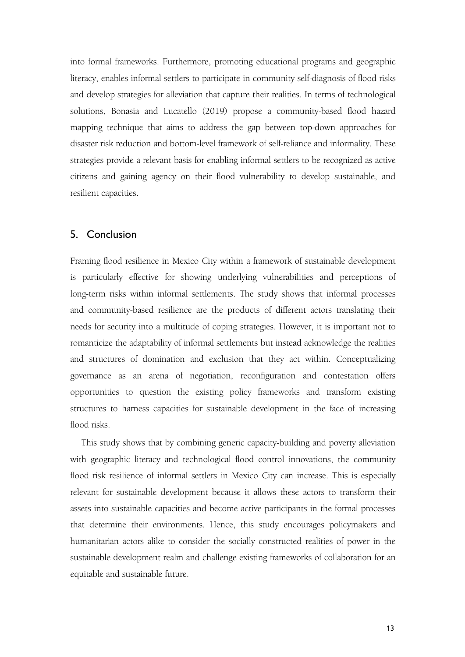into formal frameworks. Furthermore, promoting educational programs and geographic literacy, enables informal settlers to participate in community self-diagnosis of flood risks and develop strategies for alleviation that capture their realities. In terms of technological solutions, Bonasia and Lucatello (2019) propose a community-based flood hazard mapping technique that aims to address the gap between top-down approaches for disaster risk reduction and bottom-level framework of self-reliance and informality. These strategies provide a relevant basis for enabling informal settlers to be recognized as active citizens and gaining agency on their flood vulnerability to develop sustainable, and resilient capacities.

### 5. Conclusion

Framing flood resilience in Mexico City within a framework of sustainable development is particularly effective for showing underlying vulnerabilities and perceptions of long-term risks within informal settlements. The study shows that informal processes and community-based resilience are the products of different actors translating their needs for security into a multitude of coping strategies. However, it is important not to romanticize the adaptability of informal settlements but instead acknowledge the realities and structures of domination and exclusion that they act within. Conceptualizing governance as an arena of negotiation, reconfiguration and contestation offers opportunities to question the existing policy frameworks and transform existing structures to harness capacities for sustainable development in the face of increasing flood risks.

This study shows that by combining generic capacity-building and poverty alleviation with geographic literacy and technological flood control innovations, the community flood risk resilience of informal settlers in Mexico City can increase. This is especially relevant for sustainable development because it allows these actors to transform their assets into sustainable capacities and become active participants in the formal processes that determine their environments. Hence, this study encourages policymakers and humanitarian actors alike to consider the socially constructed realities of power in the sustainable development realm and challenge existing frameworks of collaboration for an equitable and sustainable future.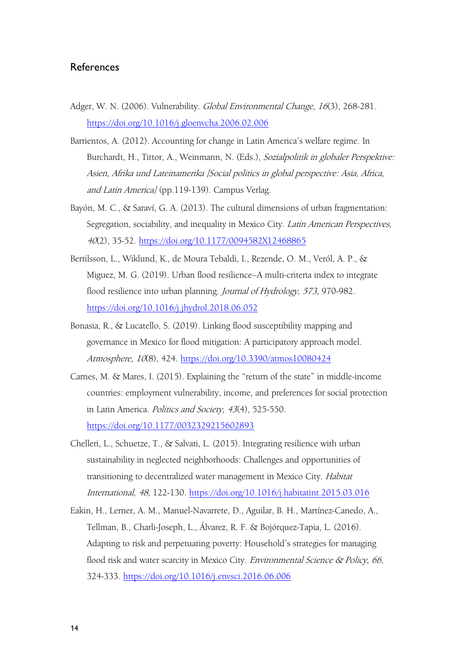### **References**

- Adger, W. N. (2006). Vulnerability. Global Environmental Change, 16(3), 268-281. <https://doi.org/10.1016/j.gloenvcha.2006.02.006>
- Barrientos, A. (2012). Accounting for change in Latin America's welfare regime. In Burchardt, H., Tittor, A., Weinmann, N. (Eds.), Sozialpolitik in globaler Perspektive: Asien, Afrika und Lateinamerika [Social politics in global perspective: Asia, Africa, and Latin America] (pp.119-139). Campus Verlag.
- Bayón, M. C., & Saraví, G. A. (2013). The cultural dimensions of urban fragmentation: Segregation, sociability, and inequality in Mexico City. Latin American Perspectives, <sup>40</sup>(2), 35-52. <https://doi.org/10.1177/0094582X12468865>
- Bertilsson, L., Wiklund, K., de Moura Tebaldi, I., Rezende, O. M., Veról, A. P., & Miguez, M. G. (2019). Urban flood resilience–A multi-criteria index to integrate flood resilience into urban planning. Journal of Hydrology, 573, 970-982. <https://doi.org/10.1016/j.jhydrol.2018.06.052>
- Bonasia, R., & Lucatello, S. (2019). Linking flood susceptibility mapping and governance in Mexico for flood mitigation: A participatory approach model. Atmosphere, 10(8), 424. <https://doi.org/10.3390/atmos10080424>
- Carnes, M. & Mares, I. (2015). Explaining the "return of the state" in middle-income countries: employment vulnerability, income, and preferences for social protection in Latin America. Politics and Society, <sup>43</sup>(4), 525-550. <https://doi.org/10.1177/0032329215602893>
- Chelleri, L., Schuetze, T., & Salvati, L. (2015). Integrating resilience with urban sustainability in neglected neighborhoods: Challenges and opportunities of transitioning to decentralized water management in Mexico City. Habitat International, 48, 122-130. <https://doi.org/10.1016/j.habitatint.2015.03.016>
- Eakin, H., Lerner, A. M., Manuel-Navarrete, D., Aguilar, B. H., Martínez-Canedo, A., Tellman, B., Charli-Joseph, L., Álvarez, R. F. & Bojórquez-Tapia, L. (2016). Adapting to risk and perpetuating poverty: Household's strategies for managing flood risk and water scarcity in Mexico City. Environmental Science & Policy, 66, 324-333. <https://doi.org/10.1016/j.envsci.2016.06.006>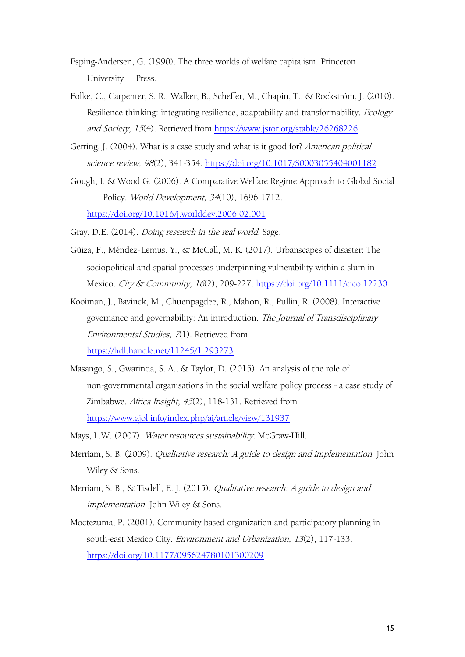- Esping-Andersen, G. (1990). The three worlds of welfare capitalism. Princeton University Press.
- Folke, C., Carpenter, S. R., Walker, B., Scheffer, M., Chapin, T., & Rockström, J. (2010). Resilience thinking: integrating resilience, adaptability and transformability. Ecology and Society, <sup>15</sup>(4). Retrieved from <https://www.jstor.org/stable/26268226>
- Gerring, J. (2004). What is a case study and what is it good for? American political science review, 98(2), 341-354. <https://doi.org/10.1017/S0003055404001182>
- Gough, I. & Wood G. (2006). A Comparative Welfare Regime Approach to Global Social Policy. World Development, 34(10), 1696-1712. <https://doi.org/10.1016/j.worlddev.2006.02.001>
- Gray, D.E. (2014). Doing research in the real world. Sage.
- Güiza, F., Méndez‐Lemus, Y., & McCall, M. K. (2017). Urbanscapes of disaster: The sociopolitical and spatial processes underpinning vulnerability within a slum in Mexico. City & Community, <sup>16</sup>(2), 209-227. <https://doi.org/10.1111/cico.12230>
- Kooiman, J., Bavinck, M., Chuenpagdee, R., Mahon, R., Pullin, R. (2008). Interactive governance and governability: An introduction. The Journal of Transdisciplinary Environmental Studies, 7(1). Retrieved from <https://hdl.handle.net/11245/1.293273>
- Masango, S., Gwarinda, S. A., & Taylor, D. (2015). An analysis of the role of non-governmental organisations in the social welfare policy process - a case study of Zimbabwe. Africa Insight, <sup>45</sup>(2), 118-131. Retrieved from <https://www.ajol.info/index.php/ai/article/view/131937>
- Mays, L.W. (2007). Water resources sustainability. McGraw-Hill.
- Merriam, S. B. (2009). Qualitative research: <sup>A</sup> guide to design and implementation. John Wiley & Sons.
- Merriam, S. B., & Tisdell, E. J. (2015). Qualitative research: <sup>A</sup> guide to design and implementation. John Wiley & Sons.
- Moctezuma, P. (2001). Community-based organization and participatory planning in south-east Mexico City. Environment and Urbanization, 13(2), 117-133. <https://doi.org/10.1177/095624780101300209>